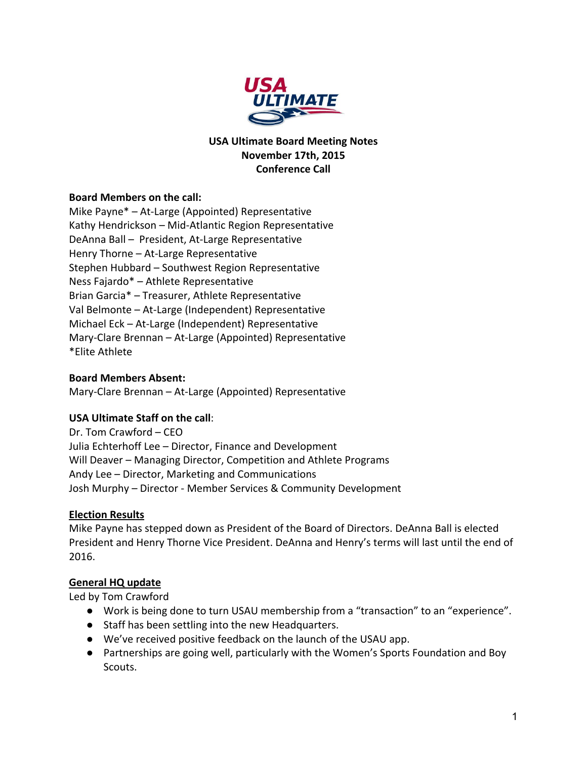

#### **USA Ultimate Board Meeting Notes November 17th, 2015 Conference Call**

# **Board Members on the call:**

Mike Payne\* - At-Large (Appointed) Representative Kathy Hendrickson - Mid-Atlantic Region Representative DeAnna Ball - President, At-Large Representative Henry Thorne - At-Large Representative Stephen Hubbard - Southwest Region Representative Ness Fajardo\* - Athlete Representative Brian Garcia\* - Treasurer, Athlete Representative Val Belmonte - At-Large (Independent) Representative Michael Eck - At-Large (Independent) Representative Mary-Clare Brennan - At-Large (Appointed) Representative \*Elite Athlete

# **Board Members Absent:**

Mary-Clare Brennan – At-Large (Appointed) Representative

# **USA Ultimate Staff on the call:**

Dr. Tom Crawford – CEO Julia Echterhoff Lee - Director, Finance and Development Will Deaver – Managing Director, Competition and Athlete Programs Andy Lee - Director, Marketing and Communications Josh Murphy – Director - Member Services & Community Development

#### **Election Results**

Mike Payne has stepped down as President of the Board of Directors. DeAnna Ball is elected President and Henry Thorne Vice President. DeAnna and Henry's terms will last until the end of 2016.

#### **General HQ update**

Led by Tom Crawford

- Work is being done to turn USAU membership from a "transaction" to an "experience".
- Staff has been settling into the new Headquarters.
- $\bullet$  We've received positive feedback on the launch of the USAU app.
- Partnerships are going well, particularly with the Women's Sports Foundation and Boy Scouts.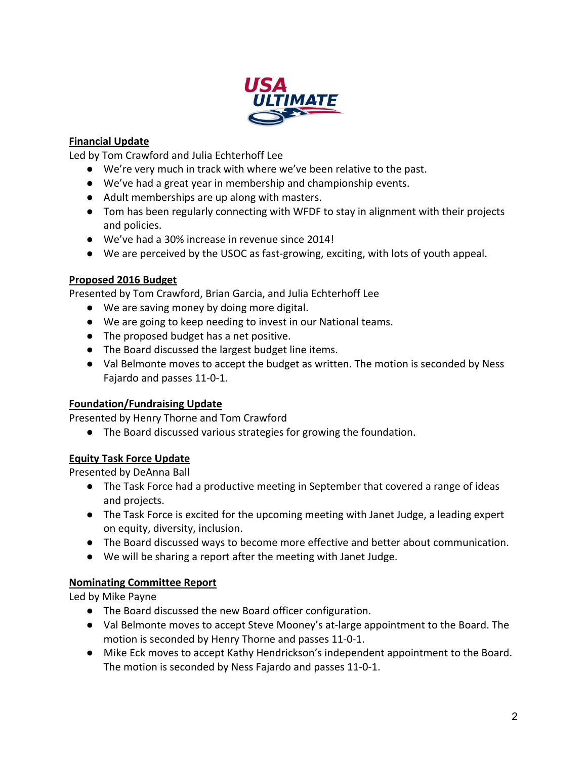

# **Financial Update**

Led by Tom Crawford and Julia Echterhoff Lee

- We're very much in track with where we've been relative to the past.
- We've had a great year in membership and championship events.
- Adult memberships are up along with masters.
- Tom has been regularly connecting with WFDF to stay in alignment with their projects and policies.
- We've had a 30% increase in revenue since 2014!
- $\bullet$  We are perceived by the USOC as fast-growing, exciting, with lots of youth appeal.

# **Proposed 2016 Budget**

Presented by Tom Crawford, Brian Garcia, and Julia Echterhoff Lee

- We are saving money by doing more digital.
- We are going to keep needing to invest in our National teams.
- $\bullet$  The proposed budget has a net positive.
- The Board discussed the largest budget line items.
- Val Belmonte moves to accept the budget as written. The motion is seconded by Ness Fajardo and passes 11-0-1.

# **Foundation/Fundraising Update**

Presented by Henry Thorne and Tom Crawford

• The Board discussed various strategies for growing the foundation.

# **Equity Task Force Update**

Presented by DeAnna Ball

- The Task Force had a productive meeting in September that covered a range of ideas and projects.
- The Task Force is excited for the upcoming meeting with Janet Judge, a leading expert on equity, diversity, inclusion.
- The Board discussed ways to become more effective and better about communication.
- $\bullet$  We will be sharing a report after the meeting with Janet Judge.

# **Nominating Committee Report**

Led by Mike Payne

- The Board discussed the new Board officer configuration.
- Val Belmonte moves to accept Steve Mooney's at-large appointment to the Board. The motion is seconded by Henry Thorne and passes 11-0-1.
- Mike Eck moves to accept Kathy Hendrickson's independent appointment to the Board. The motion is seconded by Ness Fajardo and passes 11-0-1.